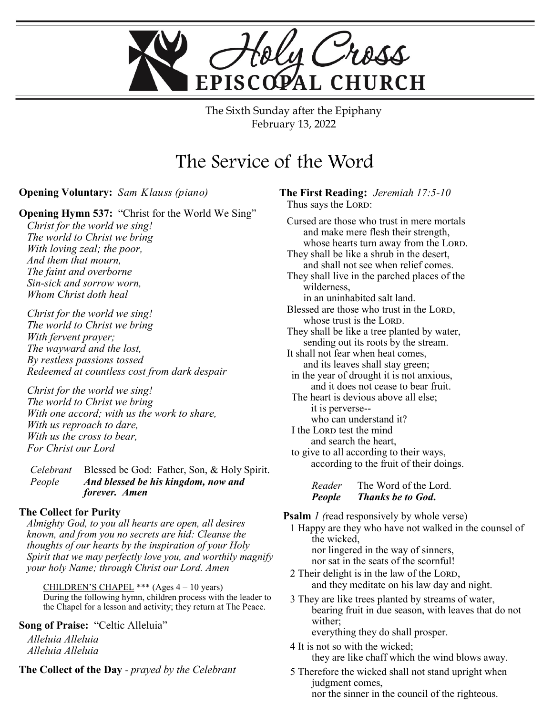

The Sixth Sunday after the Epiphany February 13, 2022

# The Service of the Word

**Opening Voluntary:** *Sam Klauss (piano)*

**Opening Hymn 537: "Christ for the World We Sing"** 

*Christ for the world we sing! The world to Christ we bring With loving zeal; the poor, And them that mourn, The faint and overborne Sin-sick and sorrow worn, Whom Christ doth heal*

*Christ for the world we sing! The world to Christ we bring With fervent prayer; The wayward and the lost, By restless passions tossed Redeemed at countless cost from dark despair*

*Christ for the world we sing! The world to Christ we bring With one accord; with us the work to share, With us reproach to dare, With us the cross to bear, For Christ our Lord*

*Celebrant* Blessed be God: Father, Son, & Holy Spirit. *People And blessed be his kingdom, now and forever. Amen*

# **The Collect for Purity**

*Almighty God, to you all hearts are open, all desires known, and from you no secrets are hid: Cleanse the thoughts of our hearts by the inspiration of your Holy Spirit that we may perfectly love you, and worthily magnify your holy Name; through Christ our Lord. Amen* 

CHILDREN'S CHAPEL \*\*\* (Ages 4 – 10 years) During the following hymn, children process with the leader to the Chapel for a lesson and activity; they return at The Peace.

### **Song of Praise:** "Celtic Alleluia"

*Alleluia Alleluia Alleluia Alleluia*

**The Collect of the Day** - *prayed by the Celebrant*

**The First Reading:** *Jeremiah 17:5-10* Thus says the LORD:

Cursed are those who trust in mere mortals and make mere flesh their strength, whose hearts turn away from the LORD. They shall be like a shrub in the desert, and shall not see when relief comes. They shall live in the parched places of the wilderness, in an uninhabited salt land. Blessed are those who trust in the LORD, whose trust is the LORD. They shall be like a tree planted by water, sending out its roots by the stream. It shall not fear when heat comes, and its leaves shall stay green; in the year of drought it is not anxious, and it does not cease to bear fruit. The heart is devious above all else; it is perverse- who can understand it? I the LORD test the mind and search the heart, to give to all according to their ways, according to the fruit of their doings.

| Reader | The Word of the Lord.    |
|--------|--------------------------|
| People | <b>Thanks be to God.</b> |

**Psalm** *1 (*read responsively by whole verse) 1 Happy are they who have not walked in the counsel of the wicked, nor lingered in the way of sinners, nor sat in the seats of the scornful!

- 2 Their delight is in the law of the LORD, and they meditate on his law day and night.
- 3 They are like trees planted by streams of water, bearing fruit in due season, with leaves that do not wither; everything they do shall prosper.
- 4 It is not so with the wicked; they are like chaff which the wind blows away.
- 5 Therefore the wicked shall not stand upright when judgment comes. nor the sinner in the council of the righteous.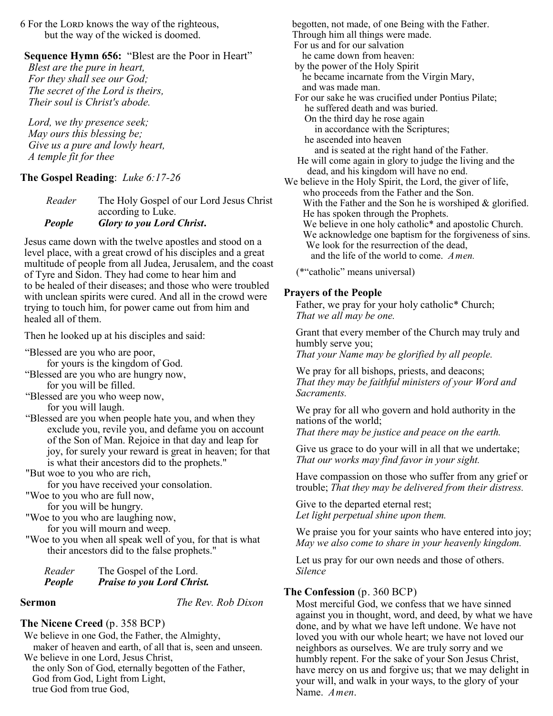6 For the LORD knows the way of the righteous, but the way of the wicked is doomed.

## **Sequence Hymn 656: "Blest are the Poor in Heart"**

*Blest are the pure in heart, For they shall see our God; The secret of the Lord is theirs, Their soul is Christ's abode.*

*Lord, we thy presence seek; May ours this blessing be; Give us a pure and lowly heart, A temple fit for thee*

#### **The Gospel Reading**: *Luke 6:17-26*

| People | <b>Glory to you Lord Christ.</b>         |
|--------|------------------------------------------|
|        | according to Luke.                       |
| Reader | The Holy Gospel of our Lord Jesus Christ |

Jesus came down with the twelve apostles and stood on a level place, with a great crowd of his disciples and a great multitude of people from all Judea, Jerusalem, and the coast of Tyre and Sidon. They had come to hear him and to be healed of their diseases; and those who were troubled with unclean spirits were cured. And all in the crowd were trying to touch him, for power came out from him and healed all of them.

Then he looked up at his disciples and said:

"Blessed are you who are poor, for yours is the kingdom of God.

"Blessed are you who are hungry now, for you will be filled.

"Blessed are you who weep now, for you will laugh.

"Blessed are you when people hate you, and when they exclude you, revile you, and defame you on account of the Son of Man. Rejoice in that day and leap for joy, for surely your reward is great in heaven; for that is what their ancestors did to the prophets."

"But woe to you who are rich,

for you have received your consolation.

"Woe to you who are full now,

for you will be hungry.

"Woe to you who are laughing now, for you will mourn and weep.

"Woe to you when all speak well of you, for that is what their ancestors did to the false prophets."

| Reader | The Gospel of the Lord.           |
|--------|-----------------------------------|
| People | <b>Praise to you Lord Christ.</b> |

**Sermon** *The Rev. Rob Dixon*

# **The Nicene Creed** (p. 358 BCP)

We believe in one God, the Father, the Almighty, maker of heaven and earth, of all that is, seen and unseen. We believe in one Lord, Jesus Christ,

the only Son of God, eternally begotten of the Father, God from God, Light from Light, true God from true God,

begotten, not made, of one Being with the Father. Through him all things were made. For us and for our salvation he came down from heaven: by the power of the Holy Spirit he became incarnate from the Virgin Mary, and was made man. For our sake he was crucified under Pontius Pilate; he suffered death and was buried. On the third day he rose again in accordance with the Scriptures; he ascended into heaven and is seated at the right hand of the Father. He will come again in glory to judge the living and the dead, and his kingdom will have no end. We believe in the Holy Spirit, the Lord, the giver of life, who proceeds from the Father and the Son. With the Father and the Son he is worshiped & glorified. He has spoken through the Prophets. We believe in one holy catholic<sup>\*</sup> and apostolic Church. We acknowledge one baptism for the forgiveness of sins.

 and the life of the world to come. *Amen.* (\*"catholic" means universal)

# **Prayers of the People**

Father, we pray for your holy catholic<sup>\*</sup> Church; *That we all may be one.*

We look for the resurrection of the dead,

Grant that every member of the Church may truly and humbly serve you;

*That your Name may be glorified by all people.*

We pray for all bishops, priests, and deacons; *That they may be faithful ministers of your Word and Sacraments.*

We pray for all who govern and hold authority in the nations of the world; *That there may be justice and peace on the earth.*

Give us grace to do your will in all that we undertake; *That our works may find favor in your sight.*

Have compassion on those who suffer from any grief or trouble; *That they may be delivered from their distress.*

Give to the departed eternal rest; *Let light perpetual shine upon them.*

We praise you for your saints who have entered into joy; *May we also come to share in your heavenly kingdom.*

Let us pray for our own needs and those of others. *Silence*

# **The Confession** (p. 360 BCP)

Most merciful God, we confess that we have sinned against you in thought, word, and deed, by what we have done, and by what we have left undone. We have not loved you with our whole heart; we have not loved our neighbors as ourselves. We are truly sorry and we humbly repent. For the sake of your Son Jesus Christ, have mercy on us and forgive us; that we may delight in your will, and walk in your ways, to the glory of your Name. *Amen*.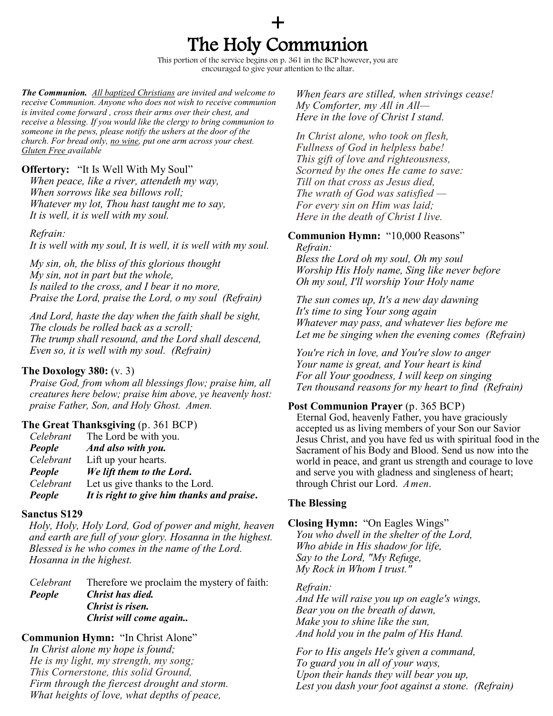# + The Holy Communion

This portion of the service begins on p. 361 in the BCP however, you are encouraged to give your attention to the altar.

*The Communion. All baptized Christians are invited and welcome to receive Communion. Anyone who does not wish to receive communion is invited come forward , cross their arms over their chest, and receive a blessing. If you would like the clergy to bring communion to someone in the pews, please notify the ushers at the door of the church. For bread only, no wine, put one arm across your chest. Gluten Free available*

# **Offertory:** "It Is Well With My Soul"

*When peace, like a river, attendeth my way, When sorrows like sea billows roll; Whatever my lot, Thou hast taught me to say, It is well, it is well with my soul.*

### *Refrain:*

*It is well with my soul, It is well, it is well with my soul.*

*My sin, oh, the bliss of this glorious thought My sin, not in part but the whole, Is nailed to the cross, and I bear it no more, Praise the Lord, praise the Lord, o my soul (Refrain)*

*And Lord, haste the day when the faith shall be sight, The clouds be rolled back as a scroll; The trump shall resound, and the Lord shall descend, Even so, it is well with my soul. (Refrain)*

### **The Doxology 380:** (v. 3)

*Praise God, from whom all blessings flow; praise him, all creatures here below; praise him above, ye heavenly host: praise Father, Son, and Holy Ghost. Amen.*

# **The Great Thanksgiving** (p. 361 BCP)

| Celebrant | The Lord be with you.                      |
|-----------|--------------------------------------------|
| People    | And also with you.                         |
| Celebrant | Lift up your hearts.                       |
| People    | We lift them to the Lord.                  |
| Celebrant | Let us give thanks to the Lord.            |
| People    | It is right to give him thanks and praise. |

### **Sanctus S129**

*Holy, Holy, Holy Lord, God of power and might, heaven and earth are full of your glory. Hosanna in the highest. Blessed is he who comes in the name of the Lord. Hosanna in the highest.* 

*Celebrant* Therefore we proclaim the mystery of faith: *People Christ has died. Christ is risen. Christ will come again..*

# **Communion Hymn:** "In Christ Alone"

*In Christ alone my hope is found; He is my light, my strength, my song; This Cornerstone, this solid Ground, Firm through the fiercest drought and storm. What heights of love, what depths of peace,*

*When fears are stilled, when strivings cease! My Comforter, my All in All— Here in the love of Christ I stand.*

*In Christ alone, who took on flesh, Fullness of God in helpless babe! This gift of love and righteousness, Scorned by the ones He came to save: Till on that cross as Jesus died, The wrath of God was satisfied — For every sin on Him was laid; Here in the death of Christ I live.*

# **Communion Hymn:** "10,000 Reasons" *Refrain:*

*Bless the Lord oh my soul, Oh my soul Worship His Holy name, Sing like never before Oh my soul, I'll worship Your Holy name*

*The sun comes up, It's a new day dawning It's time to sing Your song again Whatever may pass, and whatever lies before me Let me be singing when the evening comes (Refrain)*

*You're rich in love, and You're slow to anger Your name is great, and Your heart is kind For all Your goodness, I will keep on singing Ten thousand reasons for my heart to find (Refrain)*

# **Post Communion Prayer** (p. 365 BCP)

Eternal God, heavenly Father, you have graciously accepted us as living members of your Son our Savior Jesus Christ, and you have fed us with spiritual food in the Sacrament of his Body and Blood. Send us now into the world in peace, and grant us strength and courage to love and serve you with gladness and singleness of heart; through Christ our Lord. *Amen*.

# **The Blessing**

# **Closing Hymn:** "On Eagles Wings"

*You who dwell in the shelter of the Lord, Who abide in His shadow for life, Say to the Lord, "My Refuge, My Rock in Whom I trust."*

### *Refrain:*

*And He will raise you up on eagle's wings, Bear you on the breath of dawn, Make you to shine like the sun, And hold you in the palm of His Hand.*

*For to His angels He's given a command, To guard you in all of your ways, Upon their hands they will bear you up, Lest you dash your foot against a stone. (Refrain)*